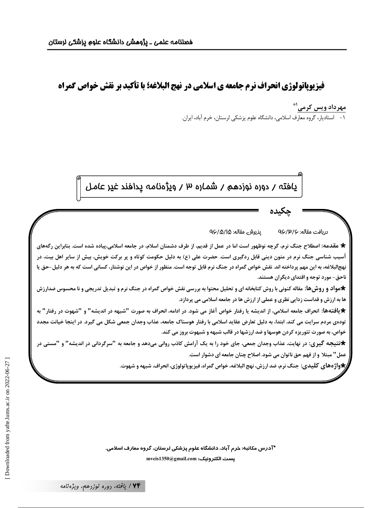فیزیویاتولوژی انحراف نرم جامعه ی اسلامی در نهج البلاغه؛ با تأکید بر نقش خواص گمراه

مهرداد ویس کرمی<sup>۱</sup>\* ١- استاديار، گروه معارف اسلامي، دانشگاه علوم پزشكي لرستان، خرم آباد، ايران.

يافته / دوره نوزدهم / شماره ٣ / ويژهنامه پدافند غير عامل

يذيرش مقاله: 1۵/۵/۱۵ دريافت مقاله: ۹۶/۳/۶

★ مقدمه: اصطلاح جنگ نرم، گرچه نوظهور است اما در عمل از قدیم، از طرف دشمنان اسلام، در جامعه اسلامی،پیاده شده است. بنابراین رگههای آسیب شناسی جنگ نرم در متون دینی قابل ردگیری است. حضرت علی (ع) به دلیل حکومت کوتاه و پر برکت خویش، بیش از سایر اهل بیت، در نهج|لبلاغه، به این مهم پرداخته اند. نقش خواص گمراه در جنگ نرم قابل توجه است. منظور از خواص در این نوشتار، كسانى است كه به هر دلیل–حق یا ناحق-مورد توجه و اقتدای دیگران هستند.

**\***مواد و روش@ا: مقاله کنونی با روش کتابخانه ای و تحلیل محتوا به بررسی نقش خواص گمراه در جنگ نرم و تبدیل تدریجی و نا محسوس ضدارزش ها به ارزش و قداست زدایی نظری و عملی از ارزش ها در جامعه اسلامی می پردازد.

\*یافتهها: انحراف جامعه اسلامی، از اندیشه یا رفتار خواص آغاز می شود. در ادامه، انحراف به صورت "شبهه در اندیشه" و "شهوت در رفتار" به تودهی مردم سرایت می کند. ابتدا، به دلیل تعارض عقاید اسلامی با رفتار هوسناک جامعه، عذاب وجدان جمعی شکل می گیرد. در اینجا خیانت مجدد خواص، به صورت تئوریزه کردن هوسها و ضد ارزشها در قالب شبهه و شبهوت بروز می کند.

\*تتیجه گیری: در نهایت، عذاب وجدان جمعی، جای خود را به یک آرامش کاذب روانی میدهد و جامعه به "سرگردانی در اندیشه" و "مستی در عمل" مبتلا و از فهم حق ناتوان می شود. اصلاح چنان جامعه ای دشوار است.

\*واژههای کلیدی: جنگ نرم، ضد ارزش، نهج البلاغه، خواص گمراه، فیزیوپاتولوژی، انحراف، شبهه و شهوت.

\*آدرس مکاتبه: خرم آباد، دانشگاه علوم پزشکی لرستان، گروه معارف اسلامی. mveis1350@gmail.com :يست الكترونيك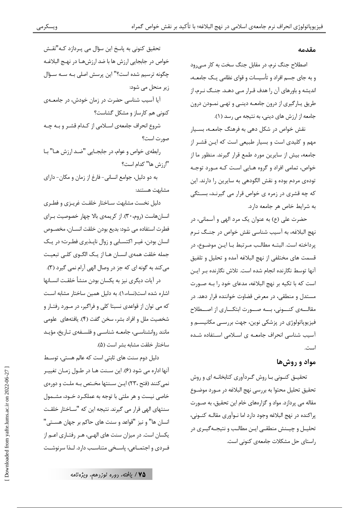#### مقدمه

اصطلاح جنگ نرم، در مقابل جنگ سخت به کار مے رود و به جای جسم افراد و تأسیسات و قوای نظامی یـک جامعـه، اندیشه و باورهای آن را هدف قـرار مـی دهـد. جنـگ نـرم، از طریق پارگیری از درون جامعـه دینـی و تهـی نمـودن درون جامعه از ارزش های دینی، به نتیجه می رسد (١).

نقش خواص در شکل دهی به فرهنگ جامعــه، بســیار مهم و کلیدی است و بسیار طبیعی است که ایـن قشـر از جامعه، بیش از سایرین مورد طمع قرار گیرند. منظور ما از خواص، تمامی افراد و گروه هـایی اسـت کـه مـورد توجـه تودهی مردم بوده و نقش الگودهی به سایرین را دارند. این که چه قشری در زمره ی خواص قرار می گیرنـد، بسـتگی به شرایط خاص هر جامعه دارد.

حضرت علی (ع) به عنوان یک مرد الهی و آسمانی، در نهج البلاغه، به آسیب شناسی نقش خواص در جنگ نـرم يرداخته است. البتــه مطالـب مــرتبط بــا ايــن موضــوع، در قسمت های مختلفی از نهج البلاغه آمده و تحلیل و تلفیق آنها توسط نگارنده انجام شده است. تلاش نگارنده بـر ايـن است که با تکیه بر نهج البلاغه، مدعای خود را بـه صـورت مستدل و منطقی، در معرض قضاوت خواننده قرار دهد. در مقالـــهي كنـــوني، بـــه صـــورت ابتكـــاري از اصـــطلاح فیزیوپاتولوژی در پزشکی نوین، جهت بررسـی مکانیســم و آسیب شناسی انحراف جامعه ی اسلامی استفاده شده است.

#### مواد و روش ها

تحقیــق کنــونی بــا روش گــردآوری کتابخانــه ای و روش تحقيق تحليل محتوا به بررسي نهج البلاغه در مـورد موضـوع مقاله می پردازد. مواد و گزارههای خام این تحقیق، به صـورت پراکنده در نهج البلاغه وجود دارد اما نـوآوري مقالـه کنـوني، تحليــل و چيــنش منطقــى ايــن مطالــب و نتيجــهگيــرى در راستای حل مشکلات جامعهی کنونی است.

تحقیق کنونی به پاسخ این سؤال می پـردازد کـه"نقـش خواص در جابجايي ارزش ها با ضد ارزشهـا در نهـج البلاغـه چگونه ترسیم شده است؟" این پرسش اصلی بـه سـه سـؤال زیر منحل می شود: آیا آسیب شناسی حضرت در زمان خودش، در جامعــهی كنونى هم كارساز و مشكل گشاست؟ شروع انحراف جامعهي اسلامي از كـدام قشـر و بـه چـه صورت است؟

رابطهی خواص و عوام، در جابجـایی "ضـد ارزش هـا" بـا "ارزش ها" كدام است؟

به دو دلیل، جوامع انسانی- فارغ از زمان و مکان- دارای مشابهت هستند:

دلیل نخست مشابهت سـاختار خلقـت غریـزی و فطـری انسان هاست (روم، ۳۰). از کریمهی بالا چهار خصوصیت بـرای فطرت استفاده مي شود: بديع بودن خلقت انســان، مخصــوص انسان بودن، غیـر اکتسـابی و زوال ناپـذیری فطـرت؛ در یـک جمله خلقت همهى انسـان هـا از يـك الگــوى كلــى تبعيـت می کند به گونه ای که جز در وصال الهی آرام نمی گیرد (۳). در آيات ديگري نيز به يكسان بودن منشأ خلقـت انســانها

اشاره شده است(نساء، ۱). به دلیل همین ساختار مشابه است که می توان از قواعدی نسبتا کلی و فراگیر، در مـورد رفتـار و شخصیت ملل و افراد بشر، سخن گفت (۴). یافتههای علومی مانند روانشناسی، جامعـه شناسـی و فلسـفهی تـاریخ، مؤیـد ساختار خلقت مشابه بشر است (۵).

دلیل دوم سنت های ثابتی است که عالم هستی، توسـط آنها اداره می شود (۶). این سـنت هـا در طـول زمـان تغییـر نمی کنند (فتح ،٢٣) ایـن سـنتها مخـتص بـه ملـت و دورهی خاصی نیست و هر ملتی با توجه به عملکرد خـود، مشـمول سنتهای الهی قرار می گیرند. نتیجه این که "سـاختار خلقـت انسان ها" و نیز "قواعد و سنت های حاکم بر جهان هسـتی" یکسان است. در میزان سنت های الهـی، هـر رفتـاری اعـم از فـردی و اجتمــاعی، پاسـخی متناسـب دارد. لــذا سرنوشــت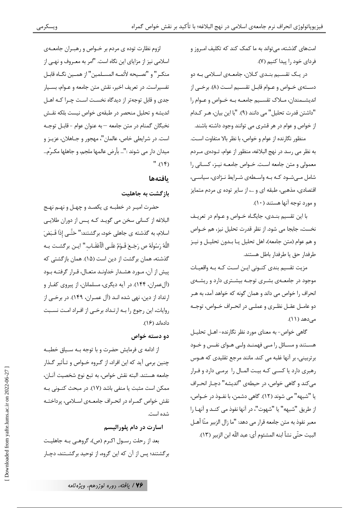امتهای گذشته، می تواند به ما کمک کند که تکلیف امروز و فردای خود را پیدا کنیم (۷).

در یـک تقسـیم بنـدی کـلان، جامعـهی اسـلامی بـه دو دستهي خــواص و عــوام قابــل تقســيم اســت (٨). برخــي از انديشـمندان، مـلاک تقسـيم جامعـه بـه خـواص و عـوام را "داشتن قدرت تحليل" مي دانند (٩). "با اين بيان، هـر كـدام از خواص و عوام در هر قشری می توانند وجود داشته باشند.

منظور نگارنده از عوام و خواص، با نظر بالا متفاوت است. به نظر می رسد در نهج البلاغه، منظور از عوام، تــودهی مــردم معمولی و متن جامعه است. خــواص جامعــه نيــز، كســانى را شامل می شود که به واسطهی شرایط نـژادی، سیاسـی، اقتصادی، مذهبی، طبقه ای و …، از سایر توده ی مردم متمایز و مورد توجه آنها هستند (١٠).

با این تقسیم بنـدی، جایگـاه خـواص و عـوام در تعریـف نخست، جابجا مي شود. از نظر قدرت تحليل نيز، هم خــواص و هم عوام (متن جامعه)، اهل تحليل يـا بـدون تحليـل و نيـز طرفدار حق يا طرفدار باطل هستند.

مزیت تقسیم بندی کنـونی ایـن اسـت کـه بـه واقعیـات موجود در جامعـهى بشـرى توجـه بيشـترى دارد و ريشـهى انحراف را خواص می داند و همان گونه که خواهد آمد، به هـر دو عامــل عقــل نظــري و عملــي در انحــراف خــواص، توجــه مے ردھد (۱۱).

گاهی خواص- به معنای مورد نظر نگارنده- اهــل تحليــل هســتند و مســائل را مــی فهمنــد ولــی هــوای نفــس و خــود برتربینی، بر آنها غلبه می کند. مانند مرجع تقلیدی که هـوس رهبری دارد یا کسبی کـه بیـت المـال را برمـی دارد و فـرار مي كند و گاهي خواص، در حيطهي "انديشه" دچـار انحـراف يا "شبهه" مي شوند (١٢). گاهي دشمن، با نفــوذ در خــواص، از طريق "شبهه" يا "شهوت"، در آنها نفوذ مي كند و آنها ,ا معبر نفوذ به متن جامعه قرار مي دهد: "ما زال الزبير منّا أهـل البيت حتَّى نشأ ابنه المشئوم أي: عبد اللَّه ابن الزبير (١٣).

لزوم نظارت توده ی مردم بر خـواص و رهبـران جامعـهى اسلامی نیز از مزایای این نگاه است. "امر به معـروف و نهـی از منكـر " و "نصـيحه لأئمـه المسـلمين" از همـين نگـاه قابـل تفسیراست. در تعریف اخیر، نقش متن جامعه و عـوام، بسـیار جدی و قابل توجهتر از دیدگاه نخست است چـرا کـه اهـل اندیشه و تحلیل منحصر در طبقهی خواص نیست بلکه نقـش نخبگان گمنام در متن جامعه —به عنوان عوام -قابـل توجـه است. در شرايطي خاص، عالمان"، مهجور و جــاهلان، عزيــز و ميدان دار مي شوند :"… بأرض عالمها ملجم، و جاهلها مكـرّم…  $".(1f)$ 

#### بافتهها

بازگشت به جاهلیت

حضرت اميـر در خطبــه ي يكصــد و چهــل و نهــم نهــج البلاغه از کسانی سخن می گویـد کـه پـس از دوران طلایـی اسلام، به گذشته ی جاهلی خود، برگشتند:" حَتَّـی إذَا قَـبَضَ اللَّهُ رَسُولَهُ صِ رَجَـعَ قَــوْمٌ عَلَــى الْلَّعْقَــاب.'' ايــن برگشــت بــه گذشته، همان برگشت از دین است (۱۵). همان بازگشتی که پیش از آن، مـورد هشـدار خداونـد متعـال، قـرار گرفتـه بـود (آلعمران، ۱۴۴). در آیه دیگری، مسلمانان، از پیروی کفـار و ارتداد از دین، نهی شده انـد (آل عمـران، ۱۴۹). در برخـی از روایات، این رجوع را به ارتـداد برخـی از افـراد امـت نسـبت دادهاند (۱۶).

#### دو دسته خواص

از ادامه ی فرمایش حضرت و با توجه بـه سـیاق خطبـه چنین برمی آید که این افراد، از گـروه خـواص و تـأثیر گـذار جامعه هستند. البته نقش خواص، به تبع نوع شخصيت آنـان، ممكن است مثبت يا منفى باشد (١٧). در مبحث كنـونى بـه نقش خواص گمـراه در انحـراف جامعــهي اســلامي، پرداختــه شده است.

#### اسارت در دام پلورالیسم

بعد از رحلت رسـول اكـرم (ص)، گروهـي بـه جاهليـت برگشتند؛ پس از آن که این گروه، از توحید برگشـتند، دچـار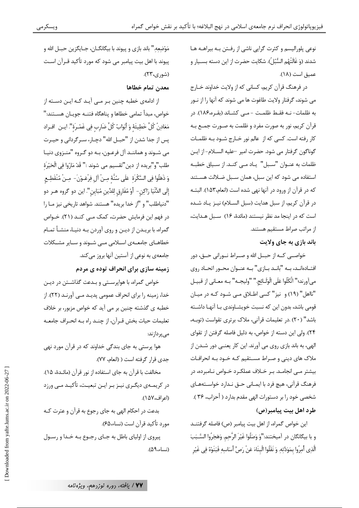ويسكرمى

نوعي پلوراليسم و كثرت گرايي ناشي از رفـتن بـه بيراهـه هـا شدند (وَ غَالَتْهُم السُّبُلُ). شكايت حضرت از اين دسته بسـيار و عميق است (١٨).

در فرهنگ قرآن کریم، کسانی که از ولایت خداوند خــارج می شوند، گرفتار ولایت طاغوت ها می شوند که آنها را از نــور به ظلمات- نــه فقـط ظلمــت -مــى كشــاند (بقــره،١٨۶). در قرآن کریم، نور به صورت مفرد و ظلمت به صـورت جمـع بـه كار رفته است. كسى كه از عالم نور خـارج شـود بـه ظلمـات گوناگون گرفتار می شود. حضرت امیر حلیه السـلام-از ایـن ظلمات به عنـوان "سـبل" يـاد مـى كنـد. از سـياق خطبـه استفاده می شود که این سبل، همان سـبل ضـلالت هسـتند كه در قرآن از ورود در آنها نهى شده است (انعام،١۵٣). البتـه در قرآن كريم، از سبل هدايت (سبل السلام) نيـز يـاد شـده است که در اینجا مد نظر نیستند (مائدهٔ، ۱۶) سـبل هـدایت، از مراتب صراط مستقیم هستند.

باند بازی به چای ولایت

خواصــي كــه از حبــل الله و صــراط نــوراني حــق، دور افتـادهانـد، بـه "بانـد بـازي" بـه عنـوان محـور اتحـاد روى مي آورند؛" اتَّكَلُوا عَلَى الْوَلَــائِج." "وليجــه" بــه معــاني از قبيــل "نااهل" (١٩) و نيز" كسى اطلاق مـى شـود كـه در ميـان قومی باشد، بدون این که نسبت خویشـاوندی بـا آنهـا داشـته باشد" (٢٠) .در تعليمات قرآني، ملاک برتري تقواست (توبه، ۲۴). ولی این دسته از خواص، به دلیل فاصله گرفتن از تقوای الهي، به باند بازي روي مي آورند. اين كار يعنـي دور شـدن از ملاک های دینی و صـراط مسـتقیم کـه خـود بـه انحرافـات بیشتر مـی انجامـد. بـر خــلاف عملکـرد خــواص نــامبرده، در فرهنگ قرآني، هيچ فرد با ايمـاني حـق نـدارد خواسـتههـاي شخصی خود را بر دستورات الهی مقدم بدارد ( أحزاب، ۳۶ ). طرد اهل بيت پيامبر (ص)

این خواص گمراه، از اهل بیت پیامبر (ص) فاصله گرفتنــد و با بيگانگان در آميختند:"وَ وَصَلُوا غَيْرَ الرَّحِمِ. وَهَجَرُوا السَّـبَبَ الَّذِى أُمِرُوا بِمَوَدَّتِهِ. وَ نَقَلُوا الْبِنَاءَ عَنْ رَصِّ أَسَاسِهِ فَبَنَوْهُ فِي غَيْرِ

مَوْضعه." باند بازي و پيوند با بيگانگــان، جــايگزين حبــل الله و پیوند با اهل بیت پیامبر می شود که مورد تأکید قـرآن اسـت (شوري،۲۳).

معدن تمام خطاها

از ادامهی خطبه چنین بـر مـی آیـد کـه ایـن دســته از خواص، مبدأ تمامي خطاها و يناهگاه فتنــه جويــان هســتند:" مَعَادِنُ كُلِّ خَطِيئَهٔ وَ أَبْوَابُ كُلِّ ضَارب فِي غَمْـرَة''. ايــن افــراد پس از جدا شدن از "حبــل الله" دچــار، ســرگردانی و حيــرت مي شـوند و هماننـد آل فرعـون، بـه دو گـروه "منـزوي دنيـا طلب"و"بريده از دين"تقسيم مي شوند :" قَدْ مَارُوا فِي الْحَيْرَة وَ ذَهَلُوا فِي السَّكْرَةِ ۚ عَلَى سُنَّهِۚ مِـنْ آلِ فِرْعَـوْنَ- مِـنْ مُنْقَطِـعِ إلَى الدُّنْيَا رَاكِن - أَوْ مُفَارِقٍ لِلدِّينِ مُبَاينٍ''. اين دو گروه هــر دو "دنياطلب" و "از خدا بريده" هستند. شواهد تاريخي نيز مـا را در فهم این فرمایش حضرت، کمک مـبی کنــد (۲۱). خــواص گمراه، با بریـدن از دیـن و روی آوردن بـه دنیـا، منشـأ تمـام .<br>خطاهــای جامعــهی اســلامی مــی شــوند و ســایر مشــکلات جامعهي به نوعي از آستين آنها بروز ميكند.

زمینه سازی برای انحراف توده ی مردم

خواص گمراه، با هواپرستی و بـدعت گذاشـتن در دیـن خدا، زمینه را برای انحراف عمومی پدیـد مـی آورنـد (٢٢). از خطبه ي گذشته چنين بر مي آيد كه خواص مزبور، بر خلاف تعليمات حيات بخش قـرآن، از چنـد راه بـه انحـراف جامعـه مے یہ دا; ند:

هوا پرستی به جای بندگی خداوند که در قرآن مورد نهی جدي قرار گرفته است ( (انعام، ٧٧).

مخالفت با قرآن به جای استفاده از نور قرآن (مائـدهٔ، ۱۵). در کریمـهي ديگـري نيـز بـر ايـن تبعيـت، تأكيـد مـي ورزد (اعراف،١۵٧).

بدعت در احکام الهی به جای رجوع به قرآن و عترت کـه مورد تأكيد قرآن است (نساء،۶۵).

پیروی از اولیای باطل به جـای رجـوع بـه خـدا و رسـول (نساء،٩۵).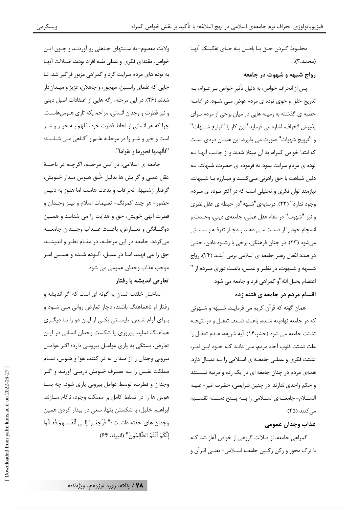مخلـوط كـردن حـق بـا باطـل بــه جـاي تفكيـك آنهـا (محمد،۳).

#### رواج شبهه و شهوت در جامعه

یس از انحراف خواص، به دلیل تأثیر خواص بـر عـوام، بـه تدریج خلق و خوی توده ی مردم عوض مــی شــود. در ادامــه خطبه ي گذشته به زمينه هايي در ميان برخي از مردم براي پذيرش انحراف، اشاره مي فرمايد."اين كار با "تبليغ شـبهات" و "ترويج شهوات" صورت مي پذيرد. اين همـان دردي اسـت كه ابتدا خواص گمراه، به آن مبتلا شدند و از جانب آنهـا بـه توده ی مردم سرایت نمود. به فرموده ی حضرت، شبهات، بـه دلیل شباهت با حق راهزنی مـی کننـد و مبـارزه بـا شـبهات، نیازمند توان فکری و تحلیلی است که در اکثر تـوده ی مـردم وجود ندارد" (۲۳). درسایهی"شبهه"در حیطه ی عقل نظری و نيز "شهوت" در مقام عقل عملي، جامعهي ديني، وحـدت و انسجام خود را از دست مبي دهـد و دچـار تفرقـه و سسـتي مي شود (٢٣). در چنان فرهنگي، برخي با رشــوه دادن، حتــي در صدد اغفال رهبر جامعه ی اسلامی برمی آینـد (۲۴). رواج شـبهه و شـهوت، در نظـر و عمـل، باعـث دوري مـردم از " اعتصام بحبل الله"و گمراهي فرد و جامعه مي شود. اقسام مردم در جامعه ی فتنه زده

همان گونه که قرآن کریم می فرمایـد، شـبهه و شـهوتی كه در جامعه نهادينه شـده، باعـث ضـعف تعقـل و در نتيجـه تشتت جامعه می شود (حشر،۱۴). آیه شریفه، عـدم تعقـل را علت تشتت قلوب آحاد مردم، مــی دانــد کــه خــود ایــن امــر، تشتت فکری و عملـی جامعـه ی اسـلامی را بـه دنبـال دارد. همهی مردم در چنان جامعه ای در یک رده و مرتبه نیسـتند و حکم واحدی ندارند. در چنین شرایطی، حضرت امیر - علیـه الســلام- جامعـــهي اســلامي را بــه پــنج دســته تقســيم می کنند (۲۵).

عذاب وجدان عمومى

گمراهی جامعه، از ضلالت گروهی از خواص آغاز شد کـه با ترک محور و رکن رکـین جامعـه اســلامی- یعنـی قــرآن و

ولايت معصوم- به سـنتهاى جـاهلى رو آوردنـد و چـون ايـن خواص، مقتداي فكرى و عملي بقيه افراد بودند، ضـلالت آنهـا به توده های مردم سرایت کرد و گمراهی مزبور فراگیر شد، تـا جایی که علمای راستین، مهجور، و جاهلان، عزیز و میـداندار شدند (٢۶). در این مرحله، رگه هایی از اعتقادات اصیل دینی و نیز فطرت و وجدان انسانی، مزاحم یکه تازی هـوسهاسـت. چرا که هر انسانی از لحاظ فطرت خود، مُلهَم بـه خيـر و شـر است و خیر و شـر را در مرحلـه علـم و آگـاهی مـی شناسـد: "فألهمها فجورها و تقواها".

جامعه ي اسلامي، در ايـن مرحلـه، اگرچـه در ناحيـهٔ عقل عملي و گرايش ها بدليل خُلق هــوس مــدار خــويش، گرفتار زشتیها، انحرافات و بدعت هاست اما هنوز به دلیـل حضور – هر چند کمرنگ- تعلیمات اسلام و نیـز وجـدان و فطرت الهي خويش، حق و هدايت را مي شناسد و همـين دوگـــانگي و تعـــارض، باعـــث عـــذاب وجـــدان جامعـــه می گردد. جامعه در این مرحلـه، در مقـام نظـر و اندیشـه، حق را مي فهمد امـا در عمـل، آلـوده شـده و همـين امـر موجب عذاب وجدان عمومي مي شود.

### تعارض اندیشه با رفتار

ساختار خلقت انسان به گونه ای است که اگر اندیشه و رفتار او ناهماهنگ باشند، دچار تعارض روانی مبی شـود و برای آرام شدن، بایستی یکی از ایـن دو را بـا دیگـری هماهنگ نماید. پیروزی یا شکست وجدان انسانی در ایـن تعارض، بستگی به پاری عوامل بیرونـی دارد؛ اگـر عوامـل بیرونی وجدان را از میدان به در کنند، هوا و هـوس، تمـام مملکت نفـس را بــه تصـرف خــویش درمــی آورنــد و اگــر وجدان و فطرت، توسط عوامل بیرونی یاری شود، چه بسا هوس ها را در تسلط کامل بر مملکت وجود، ناکام ســازند. ابراهیم خلیل، با شکستن بتها، سعی در بیدار کردن همین وجدان هاي خفته داشـت :" فَرَجَعُــوا إلــي أَنْفُسِــهمْ فَقــالُوا إِنَّكُمْ أَنْتُمُ الظَّالمُونَ" (انبياء، ٤۴).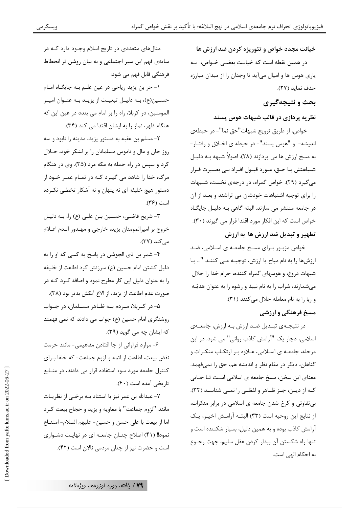خیانت مجدد خواص و تئوریزه کردن ضد ارزش ها در همین نقطه است که خیانـت بعضـی خــواص، بــه یاری هوس ها و امیال میآید تا وجدان را از میدان مبارزه حذف نمايد (٢٧).

### بحث و نتيجهگيري

### نظریه پردازی در قالب شبهات هوس پسند

خواص، از طريق ترويج شبهات"حق نما"- در حيطهي انديشه- و "هوس پسند"- در حيطه ي اخـلاق و رفتـار-به مسخ ارزش ها می پردازند (۲۸). اصولاً شبهه بـه دلیـل شـباهتش بـا حـق، مـورد قبـول افـراد بـي بصـيرت قـرار می گیرد (۲۹). خواص گمراه، در درجهی نخست، شـبهات را برای توجیه اشتباهات خودشان می تراشند و بعـد از آن در جامعه منتشر می سازند. البته گاهی بـه دلیـل جایگـاه خواص است که این افکار مورد اقتدا قرار می گیرند (۳۰). تطهير و تبديل ضد ارزش ها به ارزش

.<br>خواص مزبـور بـرای مسـخ جامعـه ی اسـلامی، ضـد ارزشها را به نام مباح یا ارزش، توجیـه مـی کننـد "... بـا شبهات دروغ، و هوسهای گمراه کننده، حرام خدا را حلال میشمارند، شراب را به نام نبیذ و رشوه را به عنوان هدیّـه و ربا را به نام معامله حلال می کنند (٣١).

### مسخ فرهنگی و ارزشی

در نتیجـهی تبـدیل ضـد ارزش بـه ارزش، جامعـهی اسلامی، دچار یک "آرامش کاذب روانی" می شود. در این مرحله، جامعـه ي اسـلامي، عـلاوه بـر ارتكـاب منكـرات و گناهان، دیگر در مقام نظر و اندیشه هم، حق را نمیفهمد. معنای این سخن، مسخ جامعه ی اسلامی است تـا جـایی کـه از ديــن، جـز ظـاهر و لفظــي را نمــي شناســد (٣٢). بی تفاوتی و کرخ شدن جامعه ی اسلامی در برابر منکرات، از نتايج اين روحيه است (٣٣) البتـه آرامـش اخيـر، يـك آرامش كاذب بوده و به همين دليل، بسيار شكننده است و تنها راه شكستن آن بيدار كردن عقل سليم، جهت رجـوع به احکام الهی است.

مثالهای متعددی در تاریخ اسلام وجـود دارد کـه در سایهی فهم این سیر اجتماعی و به بیان روشن تر انحطاط فرهنگی قابل فهم می شود:

١- حر بن يزيد رياحي در عين علـم بـه جايگـاه امـام حسـين(ع)، بــه دليــل تبعيــت از يزيــد بــه عنــوان اميــر المومنین، در کربلا، راه را بر امام می بندد در عین این که هنگام ظهر، نماز را به ایشان اقتدا می کند (۳۴).

٢- مسلم بن عقبه به دستور يزيد، مدينه را نابود و سه روز جان و مال و ناموس مسلمانان را بر لشکر خود، حـلال کرد و سپس در راه حمله به مکه مرد (۳۵). وی در هنگام مرگ، خدا را شاهد می گیـرد کـه در تمـام عمـر خـود از دستور هیچ خلیفه ای نه پنهان و نه آشکار تخطـی نکـرده است (۳۶).

٣- شريح قاضـي، حسـين بـن علـي (ع) را، بـه دليـل خروج بر اميرالمومنان يزيد، خارجي و مهـدور الـدم اعـلام می کند (٣٧).

۴- شمر بن ذي الجوشن در پاسخ به كسي كه او را به دلیل کشتن امام حسین (ع) سرزنش کرد اطاعت از خلیفه را به عنوان دلیل این کار مطرح نمود و اضافه کـرد کـه در صورت عدم اطاعت از يزيد، از الاغ آبكش بدتر بود (٣٨).

۵- در کـربلا، مـردم بـه ظـاهر مسـلمان، در جـواب روشنگری امام حسین (ع) جواب می دادند که نمی فهمند که ایشان چه می گوید (۳۹).

۶- موارد فراوانی از جا افتادن مفاهیمی- مانند حرمت نقض بیعت، اطاعت از ائمه و لزوم جماعت- که خلفا بـرای کنترل جامعه مورد سوء استفاده قرار می دادند، در منـابع تاريخي آمده است (۴۰).

۷- عبدالله بن عمر نیز با استناد بــه برخــی از نظریــات مانند "لزوم جماعت" با معاويه و يزيد و حجاج بيعت كـرد اما از بيعت با على حسن و حسين- عليهم السلام- امتنـاع نمود!! (۴۱) اصلاح چنــان جامعــه ای در نهایـت دشــواری است و حضرت نیز از چنان مردمی نالان است (۴۲).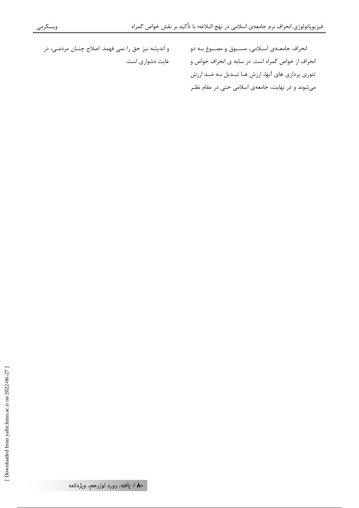و انديشه نيز حق را نمي فهمد. اصلاح چنــان مردمــي، در غايت دشواري است.

انحراف جامعــهی اســلامی، مســبوق و مصــبوغ بــه دو انحراف از خواص گمراه است. در سایه ی انحراف خواص و تئوري پردازي هاي آنها، ارزش هـا تبـديل بـه ضـد ارزش میشوند و در نهایت، جامعهی اسلامی حتی در مقام نظـر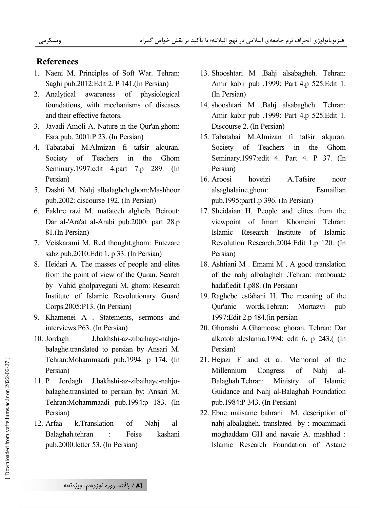### **References**

- 1. Naeni M. Principles of Soft War. Tehran: Saghi pub.2012: Edit 2. P 141. (In Persian)
- awareness of physiological 2. Analytical foundations, with mechanisms of diseases and their effective factors.
- 3. Javadi Amoli A. Nature in the Qur'an.ghom: Esra pub. 2001:P 23. (In Persian)
- 4. Tabatabai M.Almizan fi tafsir alquran. Society of Teachers  $in$ the Ghom Seminary.1997:edit 4.part 7.p 289. (In Persian)
- 5. Dashti M. Nahj albalagheh.ghom:Mashhoor pub.2002: discourse 192. (In Persian)
- 6. Fakhre razi M. mafateeh algheib. Beirout: Dar al-'Ara'at al-Arabi pub.2000: part 28.p 81.(In Persian)
- 7. Veiskarami M. Red thought.ghom: Entezare sabz pub.2010: Edit 1. p 33. (In Persian)
- 8. Heidari A. The masses of people and elites from the point of view of the Quran. Search by Vahid gholpayegani M. ghom: Research Institute of Islamic Revolutionary Guard Corps.2005:P13. (In Persian)
- 9. Khamenei A . Statements, sermons and interviews.P63. (In Persian)
- 10. Jordagh J.bakhshi-az-zibaihaye-nahjobalaghe.translated to persian by Ansari M. Tehran: Mohammaadi pub.1994: p 174. (In Persian)
- $11. P$ Jordagh J.bakhshi-az-zibaihaye-nahjobalaghe.translated to persian by: Ansari M. Tehran: Mohammaadi pub.1994:p 183. (In Persian)
- 12. Arfaa k.Translation Nahj alof Feise Balaghah.tehran kashani pub.2000: letter 53. (In Persian)
- 13. Shooshtari M .Bahj alsabagheh. Tehran: Amir kabir pub .1999: Part 4.p 525.Edit 1. (In Persian)
- 14. shooshtari M .Bahj alsabagheh. Tehran: Amir kabir pub .1999: Part 4.p 525.Edit 1. Discourse 2. (In Persian)
- 15. Tabatabai M.Almizan fi tafsir alguran. Society of Teachers in the Ghom Seminary.1997: edit 4. Part 4. P 37. (In Persian)
- 16. Aroosi hoveizi A.Tafsire noor alsaghalaine.ghom: Esmailian pub.1995:part1.p 396. (In Persian)
- 17. Sheidaian H. People and elites from the viewpoint of Imam Khomeini Tehran: Islamic Research Institute  $\alpha$ f Islamic Revolution Research.2004:Edit 1.p 120. (In Persian)
- 18. Ashtiani M . Emami M . A good translation of the nahj albalagheh .Tehran: matbouate hadaf.edit 1.p88. (In Persian)
- 19. Raghebe esfahani H. The meaning of the Qur'anic words. Tehran: Mortazvi pub 1997: Edit 2.p 484. (in persian
- 20. Ghorashi A.Ghamoose ghoran. Tehran: Dar alkotob aleslamia.1994: edit 6. p 243.( (In Persian)
- 21. Hejazi F and et al. Memorial of the Millennium Congress of Nahj al-Balaghah.Tehran: Ministry  $\sigma$ f Islamic Guidance and Nahj al-Balaghah Foundation pub.1984:P 343. (In Persian)
- 22. Ebne maisame bahrani M. description of nahj albalagheh. translated by : moammadi moghaddam GH and navaie A. mashhad: Islamic Research Foundation of Astane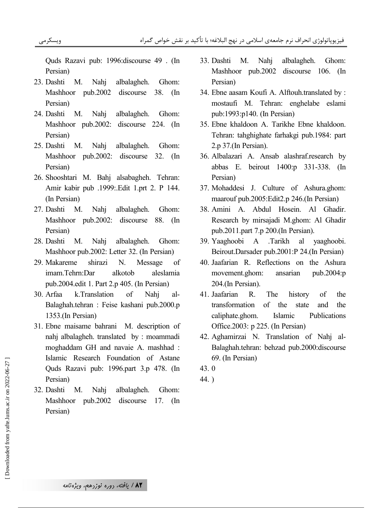Quds Razavi pub: 1996:discourse 49 . (In Persian)

- 23. Dashti M. Nahj albalagheh. Ghom: Mashhoor pub.2002 discourse 38. (In Persian)
- 24. Dashti M. Nahj albalagheh. Ghom: Mashhoor pub.2002: discourse 224. (In Persian)
- 25. Dashti M. Nahj albalagheh. Ghom: Mashhoor pub.2002: discourse 32. (In Persian)
- 26. Shooshtari M. Bahj alsabagheh. Tehran: Amir kabir pub .1999:.Edit 1.prt 2. P 144. (In Persian)
- 27. Dashti M. Nahj albalagheh. Ghom: Mashhoor pub.2002: discourse 88. (In Persian)
- 28. Dashti M. Nahj albalagheh. Ghom: Mashhoor pub.2002: Letter 32. (In Persian)
- 29. Makareme shirazi N. Message of imam.Tehrn:Dar alkotob aleslamia pub.2004.edit 1. Part 2.p 405. (In Persian)
- 30. Arfaa k.Translation of Nahj al-Balaghah.tehran : Feise kashani pub.2000.p 1353.(In Persian)
- 31. Ebne maisame bahrani M. description of nahj albalagheh. translated by : moammadi moghaddam GH and navaie A. mashhad : Islamic Research Foundation of Astane Quds Razavi pub: 1996.part 3.p 478. (In Persian)
- 32. Dashti M. Nahj albalagheh. Ghom: Mashhoor pub.2002 discourse 17. (In Persian)
- 33. Dashti M. Nahj albalagheh. Ghom: Mashhoor pub.2002 discourse 106. (In Persian)
- 34. Ebne aasam Koufi A. Alftouh.translated by : mostaufi M. Tehran: enghelabe eslami pub:1993:p140. (In Persian)
- 35. Ebne khaldoon A. Tarikhe Ebne khaldoon. Tehran: tahghighate farhakgi pub.1984: part 2.p 37.(In Persian).
- 36. Albalazari A. Ansab alashraf.research by abbas E. beirout 1400:p 331-338. (In Persian)
- 37. Mohaddesi J. Culture of Ashura.ghom: maarouf pub.2005:Edit2.p 246.(In Persian)
- 38. Amini A. Abdul Hosein. Al Ghadir. Research by mirsajadi M.ghom: Al Ghadir pub.2011.part 7.p 200.(In Persian).
- 39. Yaaghoobi A .Tarikh al yaaghoobi. Beirout.Darsader pub.2001:P 24.(In Persian)
- 40. Jaafarian R. Reflections on the Ashura movement.ghom: ansarian pub.2004:p 204.(In Persian).
- 41. Jaafarian R. The history of the transformation of the state and the caliphate.ghom. Islamic Publications Office.2003: p 225. (In Persian)
- 42. Aghamirzai N. Translation of Nahj al-Balaghah.tehran: behzad pub.2000:discourse 69. (In Persian)
- 43. 0
- 44. )